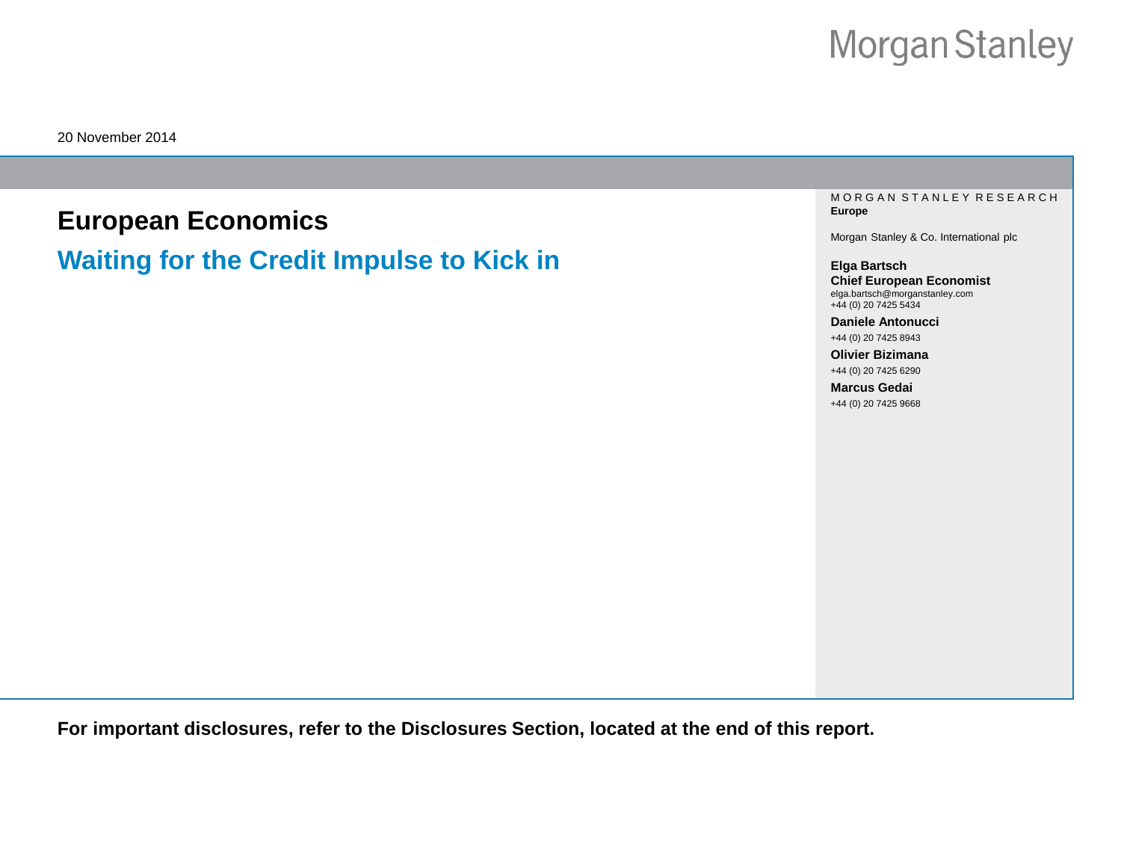20 November 2014

# **European Economics**

**Waiting for the Credit Impulse to Kick in**

M O R G A N S T A N L E Y R E S E A R C H **Europe**

Morgan Stanley & Co. International plc

**Elga Bartsch Chief European Economist** elga.bartsch@morganstanley.com +44 (0) 20 7425 5434

**Daniele Antonucci**  +44 (0) 20 7425 8943

**Olivier Bizimana**  +44 (0) 20 7425 6290

**Marcus Gedai**  +44 (0) 20 7425 9668

**For important disclosures, refer to the Disclosures Section, located at the end of this report.**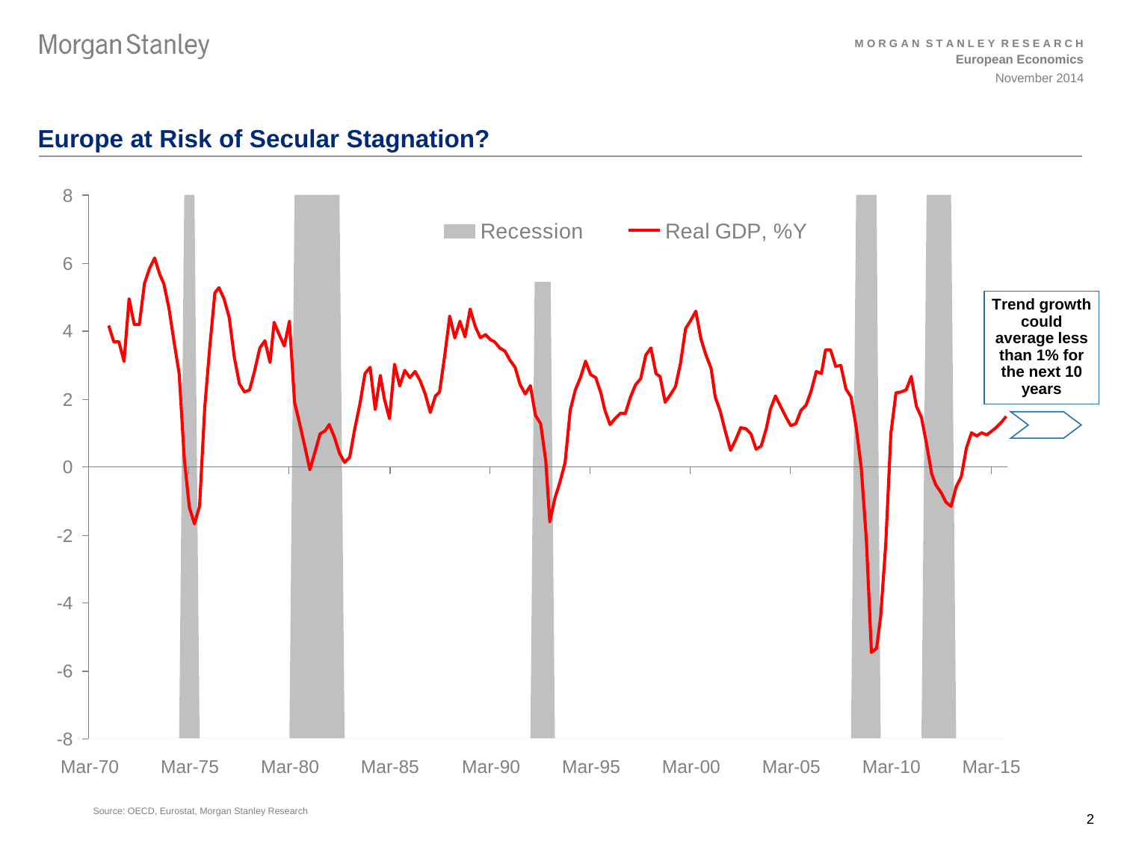# **Europe at Risk of Secular Stagnation?**

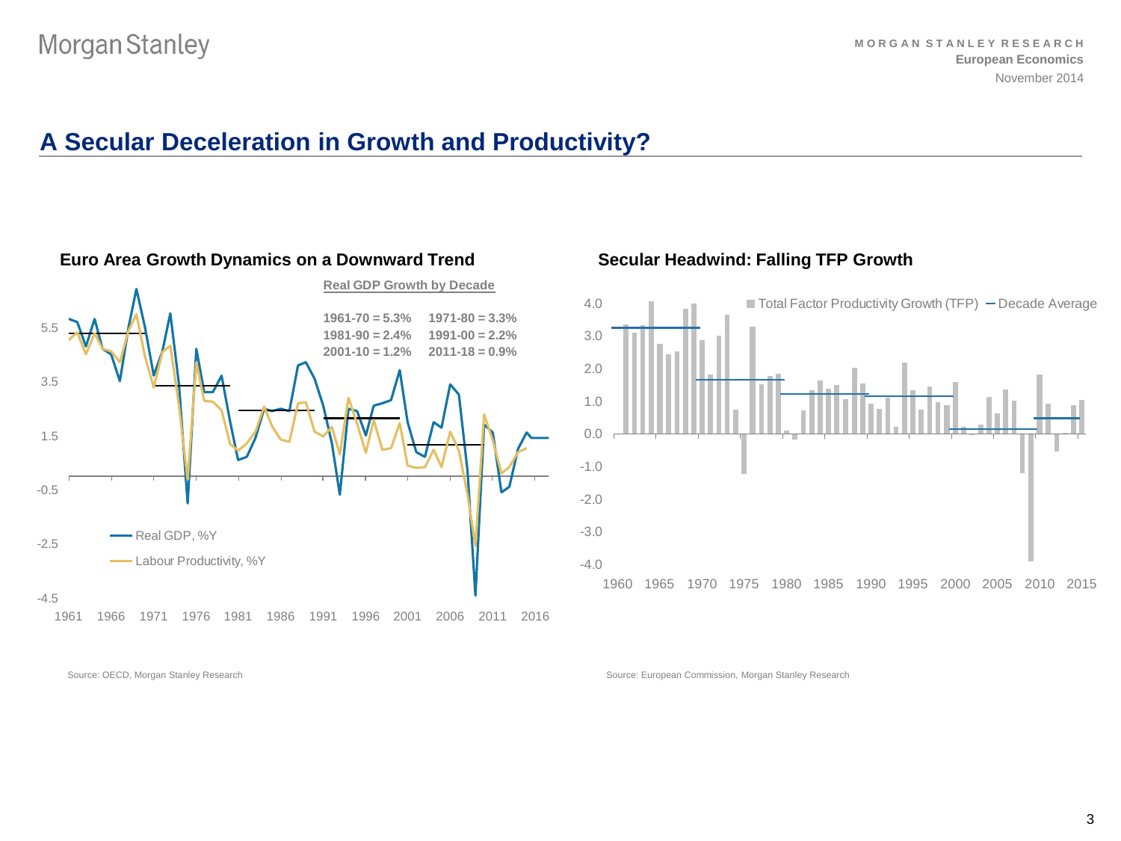Source: OECD, Morgan Stanley Research

# **A Secular Deceleration in Growth and Productivity?**



#### **Euro Area Growth Dynamics on a Downward Trend Secular Headwind: Falling TFP Growth**



Source: European Commission, Morgan Stanley Research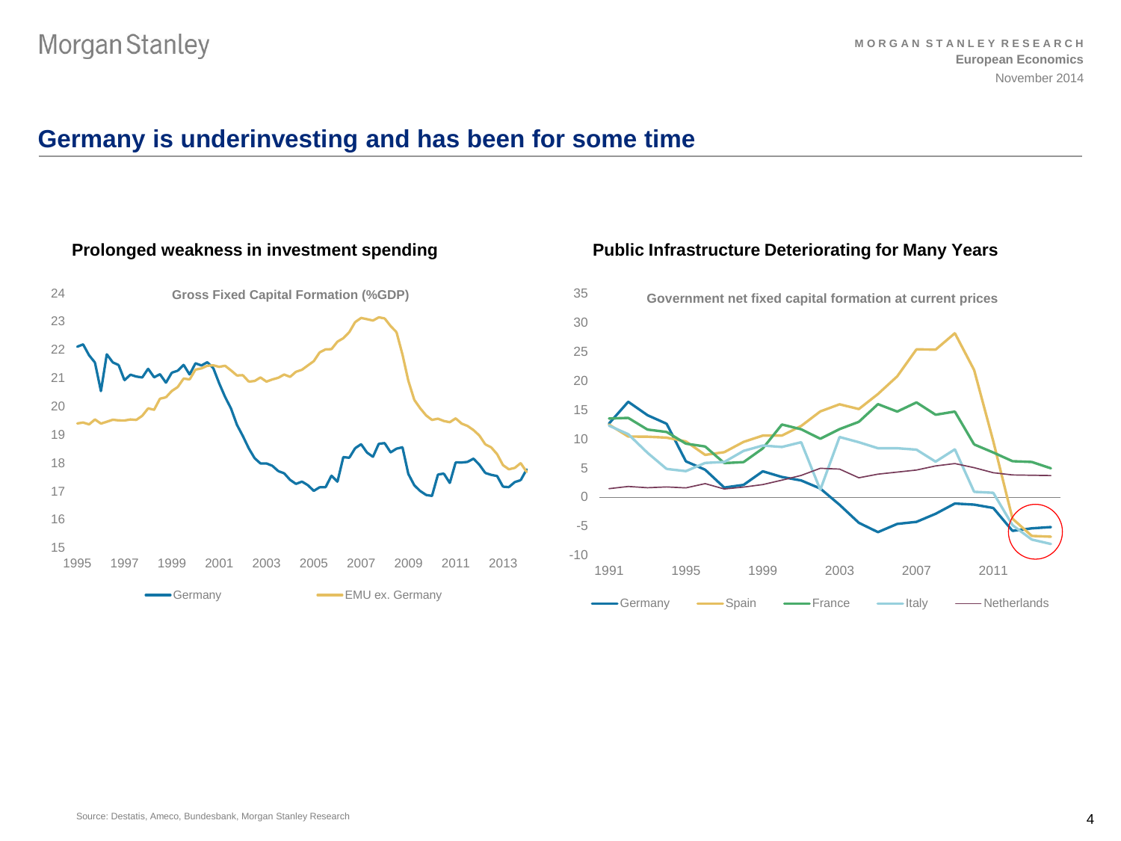# **Germany is underinvesting and has been for some time**

### **Prolonged weakness in investment spending**



#### **Public Infrastructure Deteriorating for Many Years**

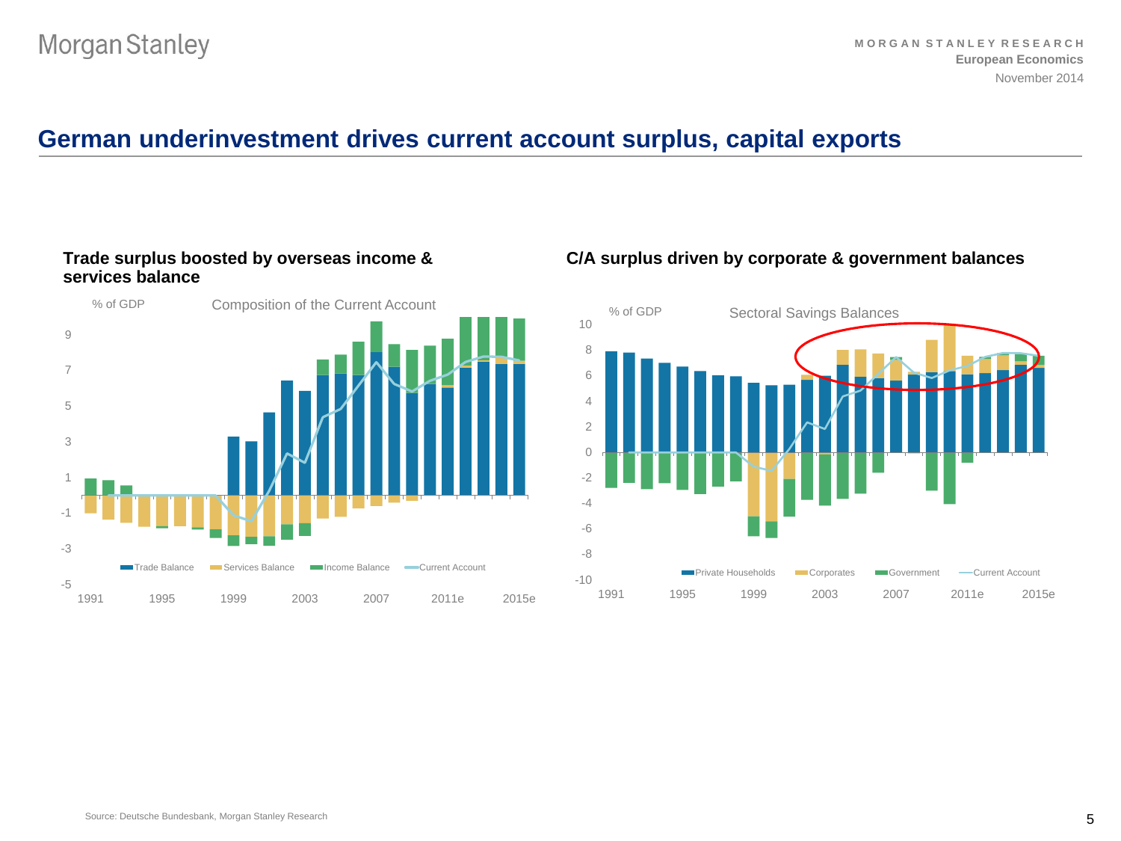# **German underinvestment drives current account surplus, capital exports**

#### **Trade surplus boosted by overseas income & services balance**



### **C/A surplus driven by corporate & government balances**

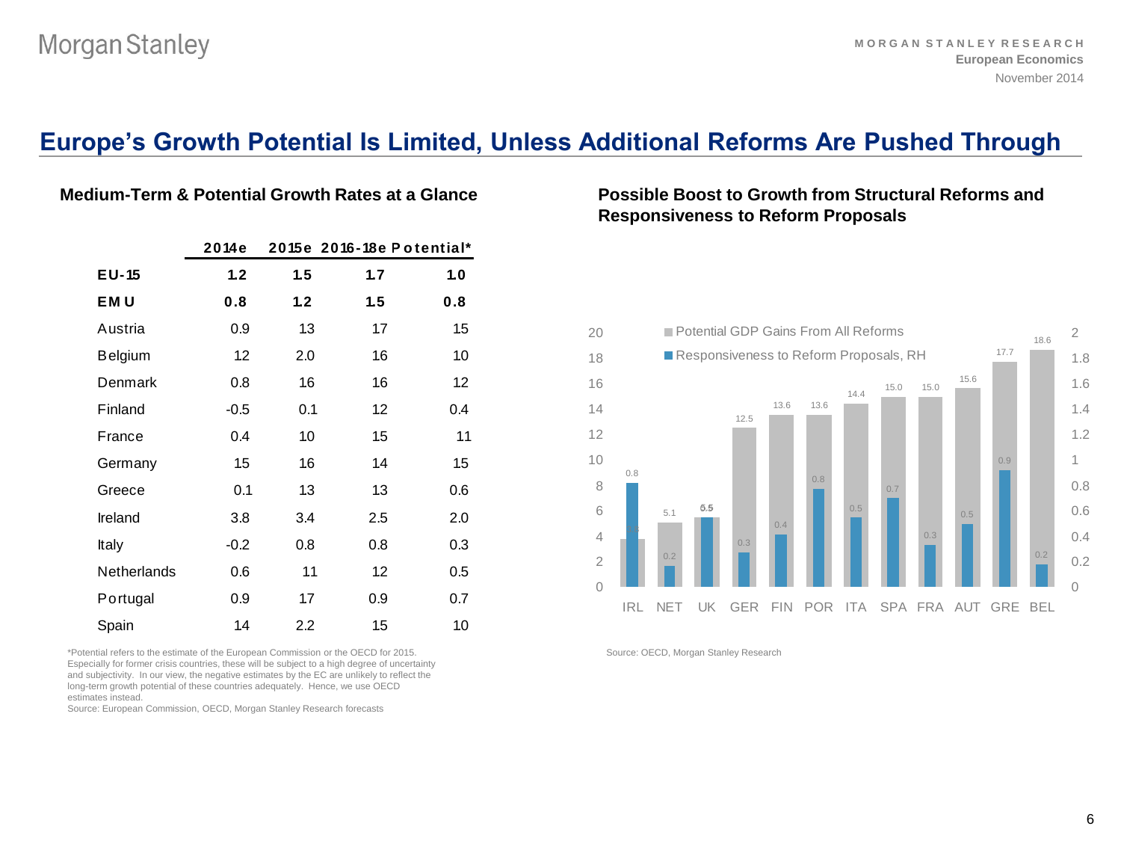## **Europe's Growth Potential Is Limited, Unless Additional Reforms Are Pushed Through**

|                    | 2014e  |     |     | 2015e 2016-18e Potential* |
|--------------------|--------|-----|-----|---------------------------|
| $E$ U-15           | 1.2    | 1.5 | 1.7 | 1.0                       |
| <b>EMU</b>         | 0.8    | 1.2 | 1.5 | 0.8                       |
| Austria            | 0.9    | 1.3 | 1.7 | 1.5                       |
| <b>Belgium</b>     | 1.2    | 2.0 | 1.6 | 10                        |
| Denmark            | 0.8    | 16  | 1.6 | 1.2                       |
| Finland            | $-0.5$ | 0.1 | 1.2 | 0.4                       |
| France             | 0.4    | 1.0 | 1.5 | 1.1                       |
| Germany            | 1.5    | 16  | 1.4 | 1.5                       |
| Greece             | 0.1    | 1.3 | 1.3 | 0.6                       |
| Ireland            | 3.8    | 3.4 | 2.5 | 2.0                       |
| Italy              | $-0.2$ | 0.8 | 0.8 | 0.3                       |
| <b>Netherlands</b> | 0.6    | 1.1 | 1.2 | 0.5                       |
| Portugal           | 0.9    | 1.7 | 0.9 | 0.7                       |
| Spain              | 1.4    | 2.2 | 1.5 | 10                        |

\*Potential refers to the estimate of the European Commission or the OECD for 2015. Especially for former crisis countries, these will be subject to a high degree of uncertainty and subjectivity. In our view, the negative estimates by the EC are unlikely to reflect the long-term growth potential of these countries adequately. Hence, we use OECD estimates instead.

Source: European Commission, OECD, Morgan Stanley Research forecasts

### **Medium-Term & Potential Growth Rates at a Glance Possible Boost to Growth from Structural Reforms and Responsiveness to Reform Proposals**



Source: OECD, Morgan Stanley Research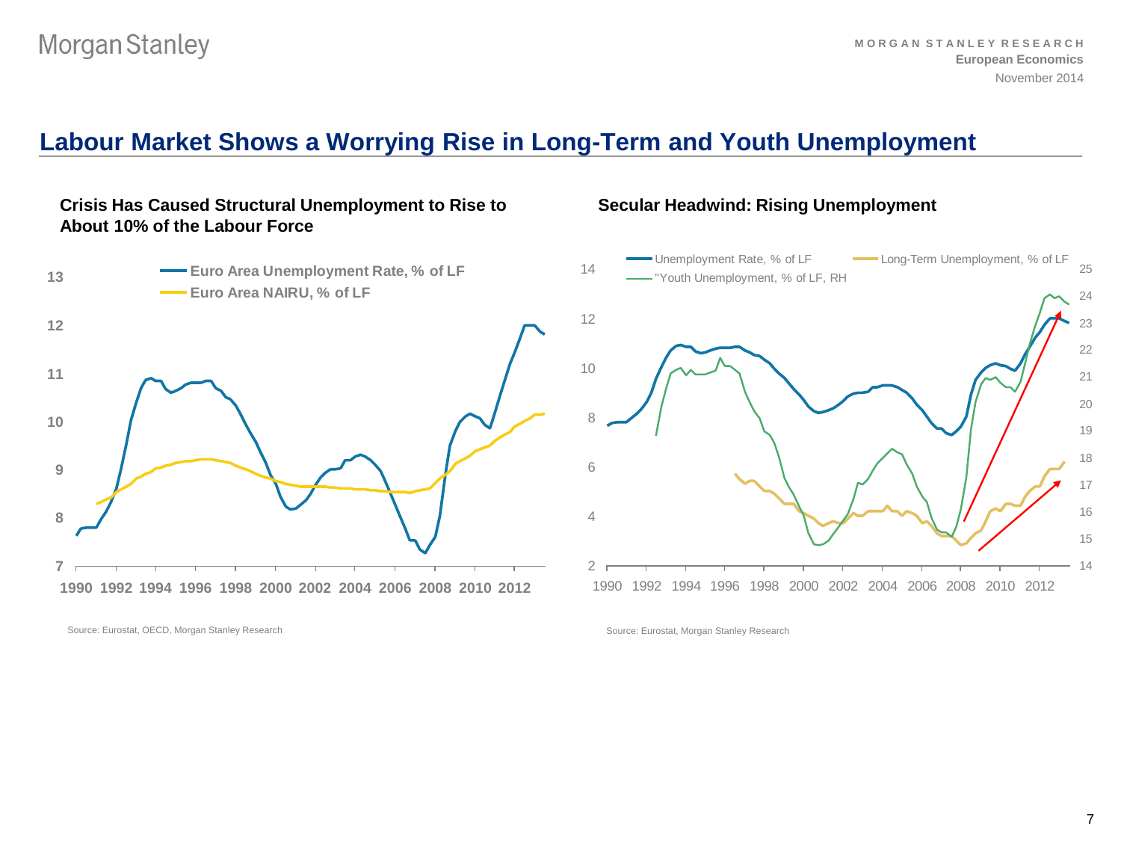# **Labour Market Shows a Worrying Rise in Long-Term and Youth Unemployment**

### **Crisis Has Caused Structural Unemployment to Rise to About 10% of the Labour Force**



### **Secular Headwind: Rising Unemployment**



Source: Eurostat, OECD, Morgan Stanley Research

Source: Eurostat, Morgan Stanley Research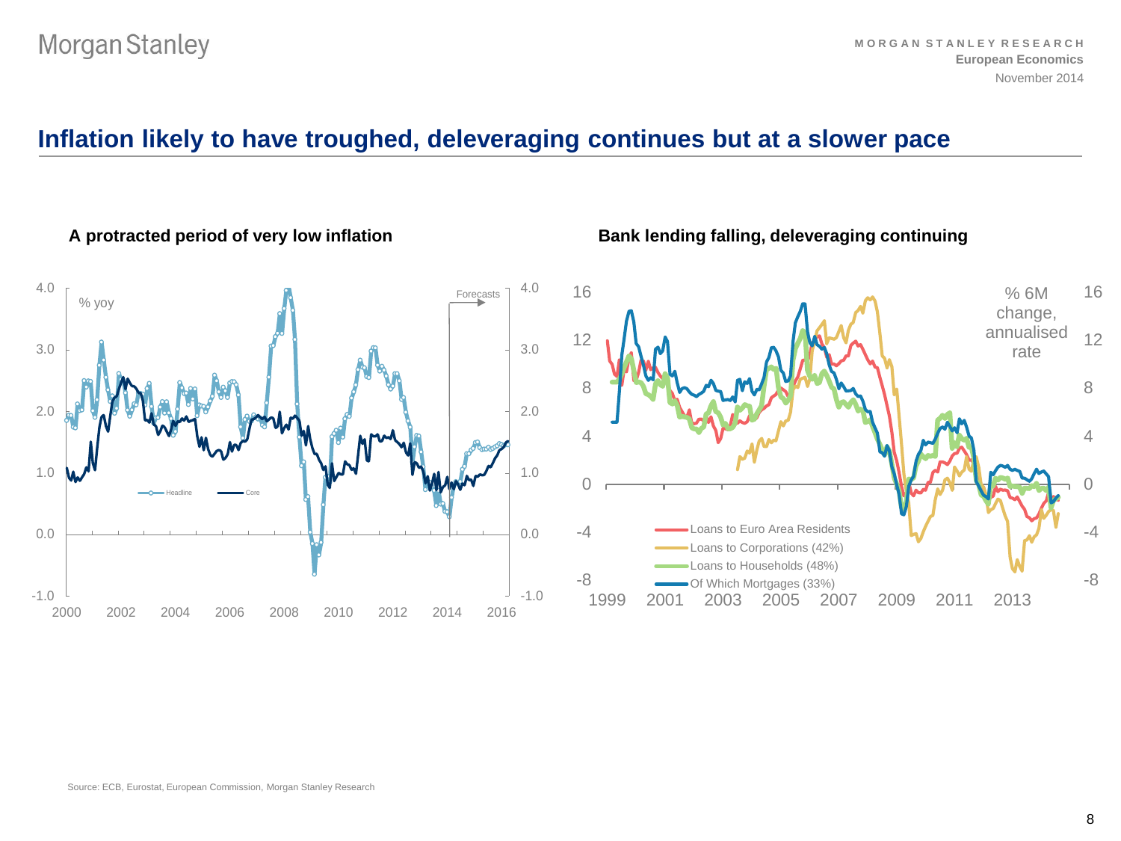# **Inflation likely to have troughed, deleveraging continues but at a slower pace**



A protracted period of very low inflation **Bank lending falling, deleveraging continuing** 

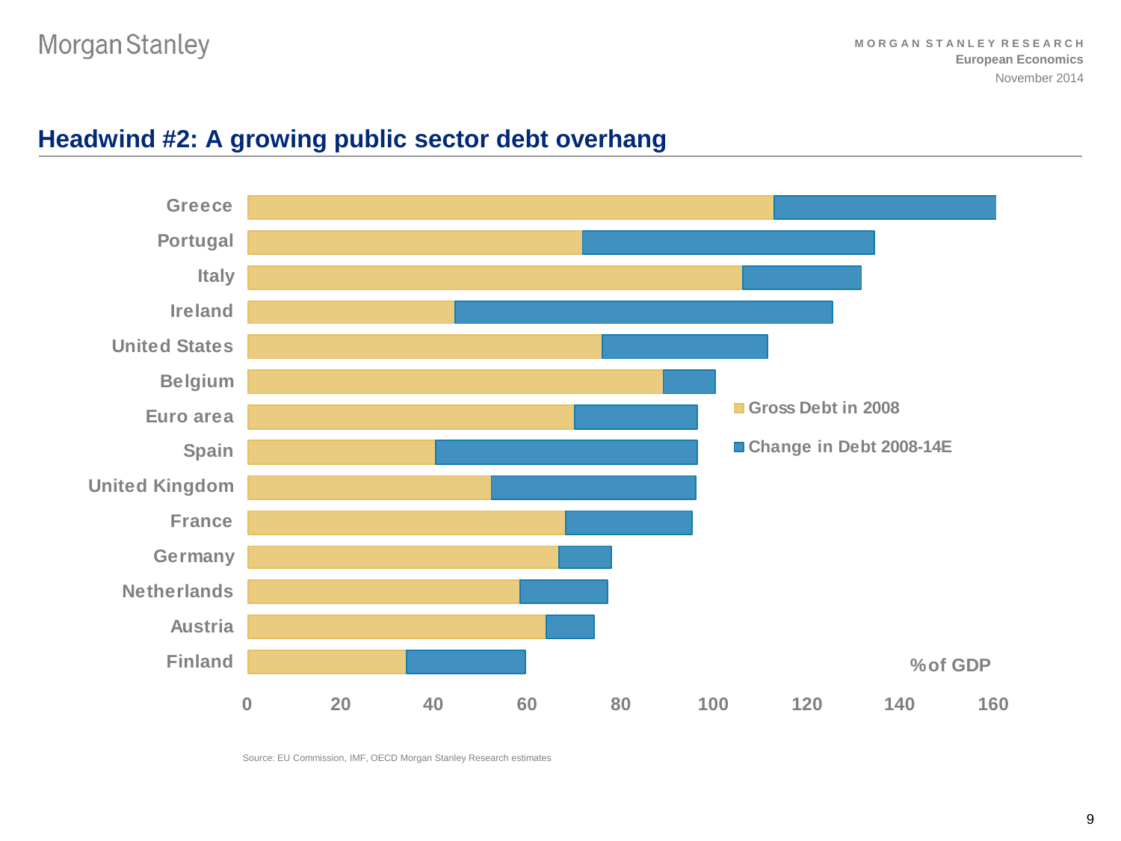

# **Headwind #2: A growing public sector debt overhang**

Source: EU Commission, IMF, OECD Morgan Stanley Research estimates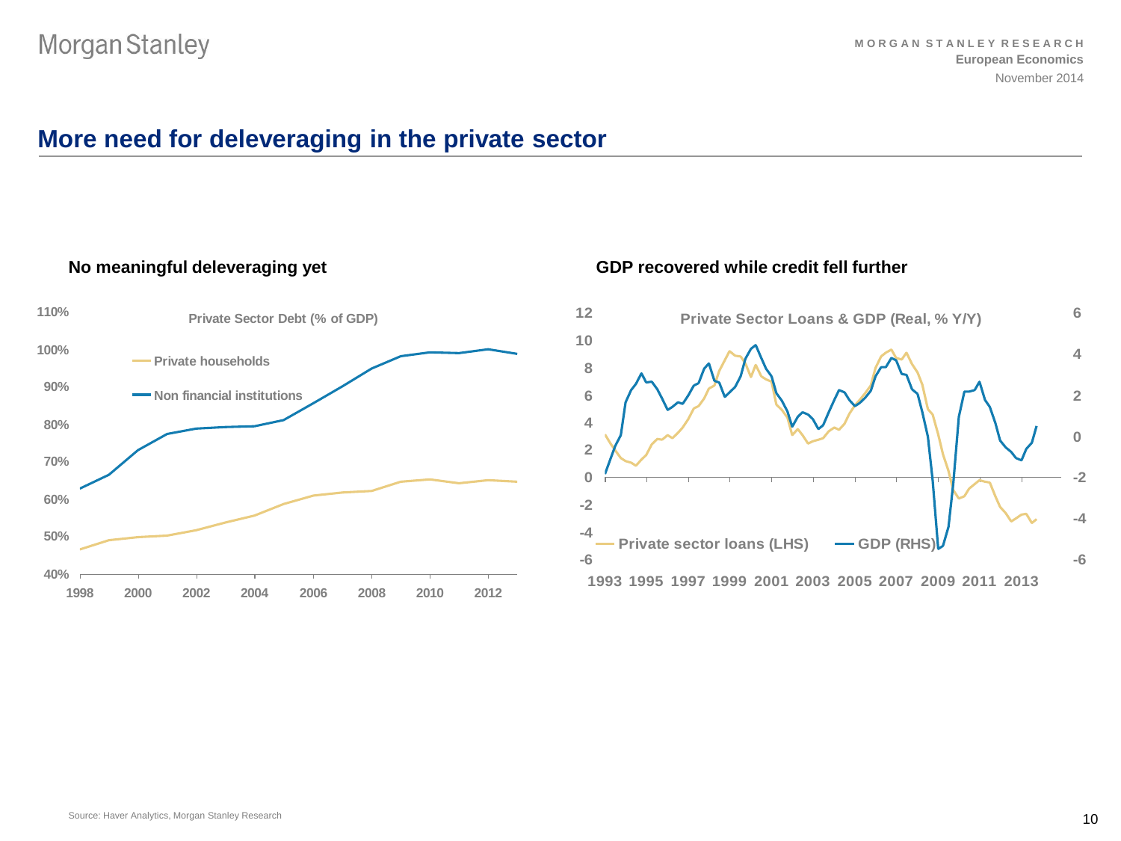# **More need for deleveraging in the private sector**

#### **No meaningful deleveraging yet**



#### **GDP recovered while credit fell further**

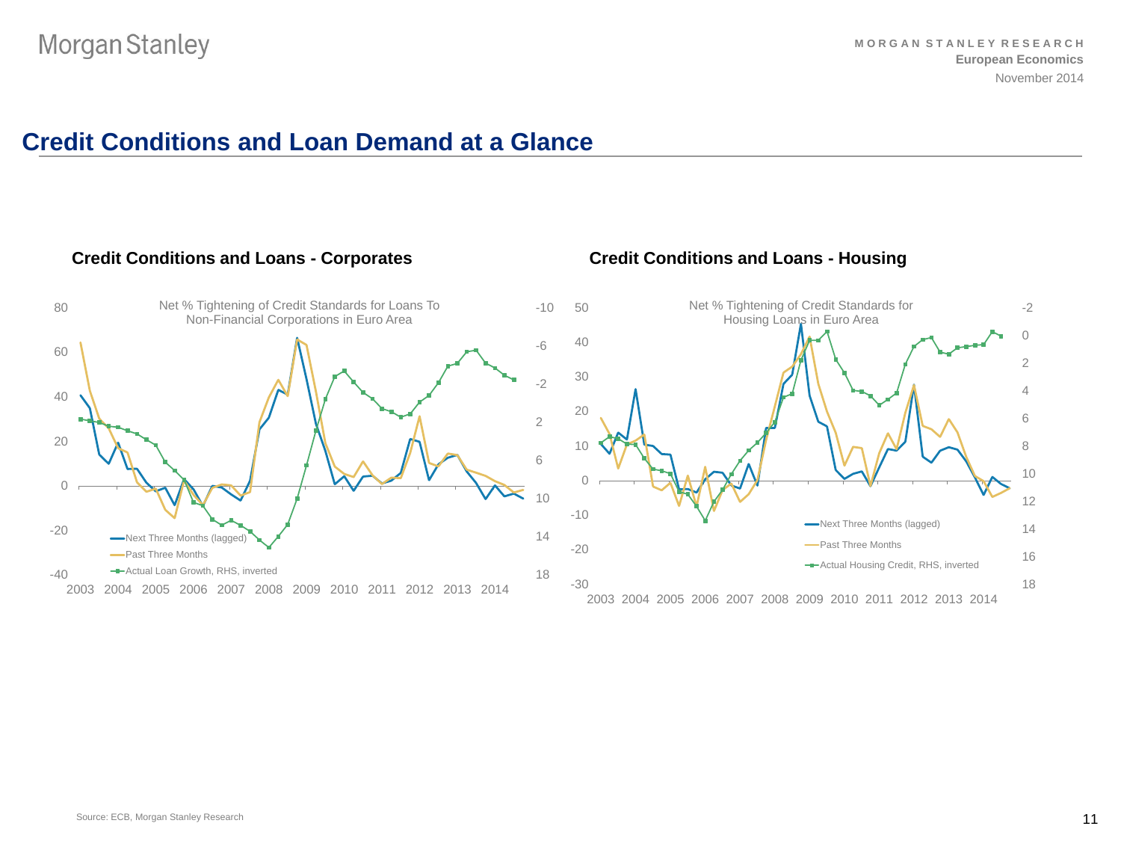# **Credit Conditions and Loan Demand at a Glance**

#### **Credit Conditions and Loans - Corporates**



#### **Credit Conditions and Loans - Housing**

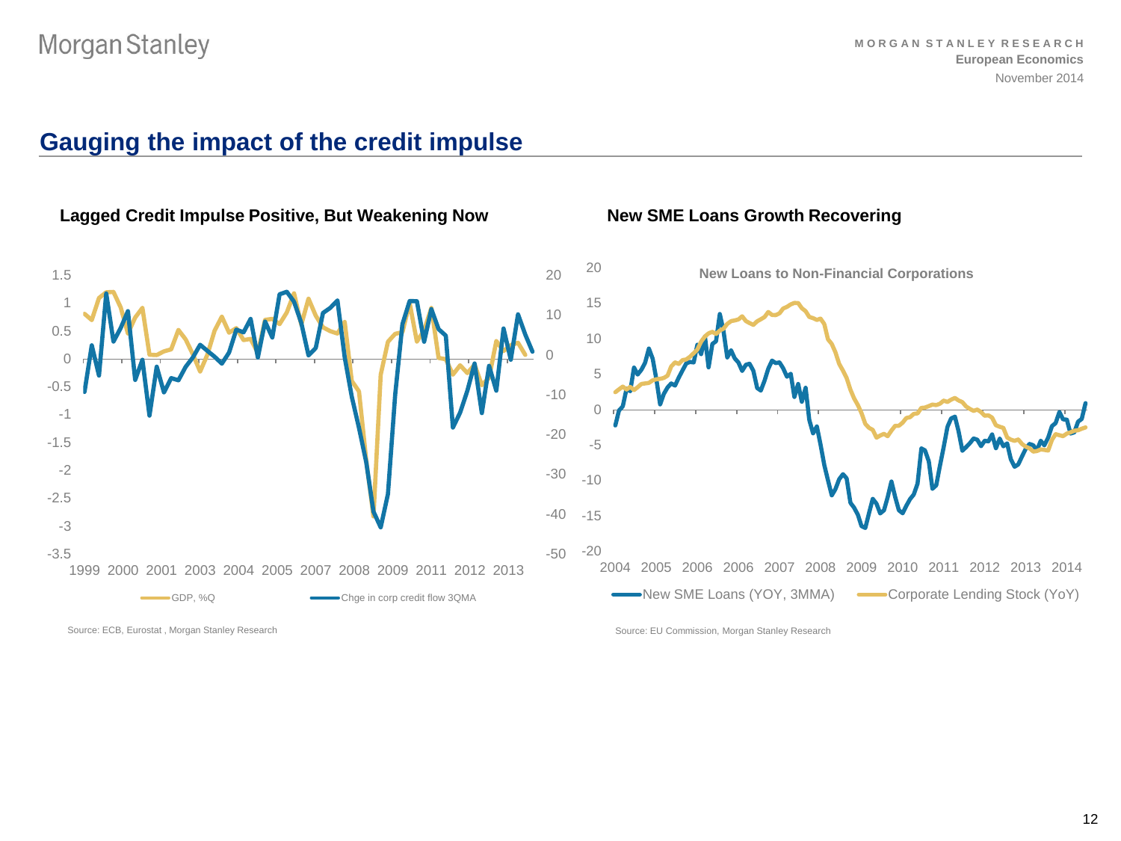# **Gauging the impact of the credit impulse**



**Lagged Credit Impulse Positive, But Weakening Now New SME Loans Growth Recovering**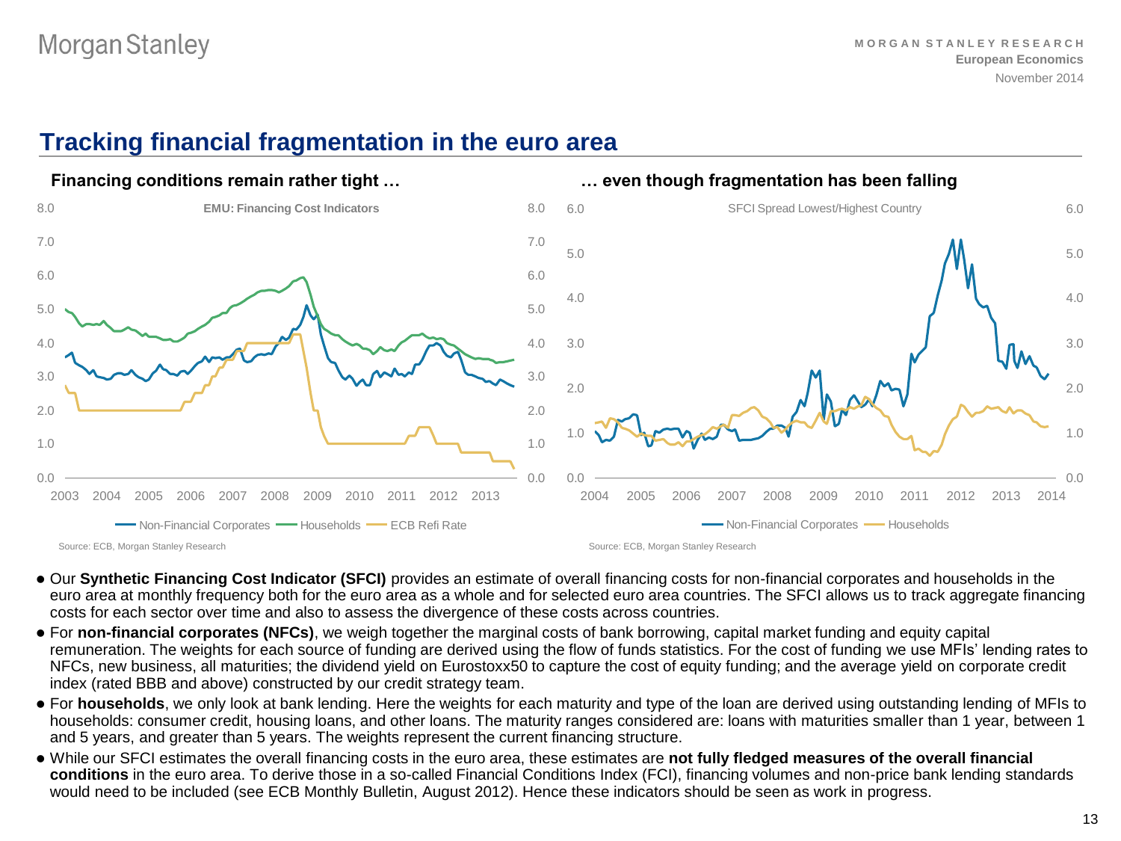# **Tracking financial fragmentation in the euro area**



- Our **Synthetic Financing Cost Indicator (SFCI)** provides an estimate of overall financing costs for non-financial corporates and households in the euro area at monthly frequency both for the euro area as a whole and for selected euro area countries. The SFCI allows us to track aggregate financing costs for each sector over time and also to assess the divergence of these costs across countries.
- For **non-financial corporates (NFCs)**, we weigh together the marginal costs of bank borrowing, capital market funding and equity capital remuneration. The weights for each source of funding are derived using the flow of funds statistics. For the cost of funding we use MFIs' lending rates to NFCs, new business, all maturities; the dividend yield on Eurostoxx50 to capture the cost of equity funding; and the average yield on corporate credit index (rated BBB and above) constructed by our credit strategy team.
- For **households**, we only look at bank lending. Here the weights for each maturity and type of the loan are derived using outstanding lending of MFIs to households: consumer credit, housing loans, and other loans. The maturity ranges considered are: loans with maturities smaller than 1 year, between 1 and 5 years, and greater than 5 years. The weights represent the current financing structure.
- While our SFCI estimates the overall financing costs in the euro area, these estimates are **not fully fledged measures of the overall financial conditions** in the euro area. To derive those in a so-called Financial Conditions Index (FCI), financing volumes and non-price bank lending standards would need to be included (see ECB Monthly Bulletin, August 2012). Hence these indicators should be seen as work in progress.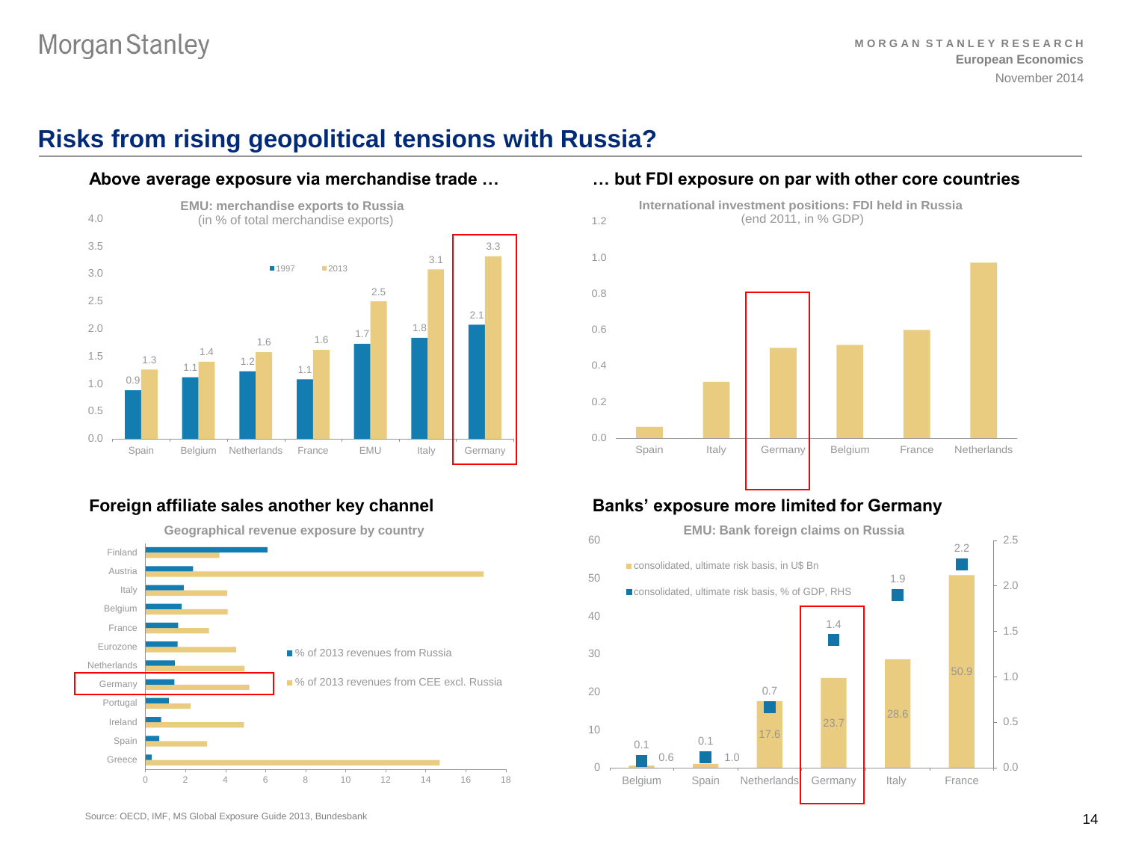# **Risks from rising geopolitical tensions with Russia?**



#### **Above average exposure via merchandise trade …**



**Geographical revenue exposure by country**



### **… but FDI exposure on par with other core countries International investment positions: FDI held in Russia**



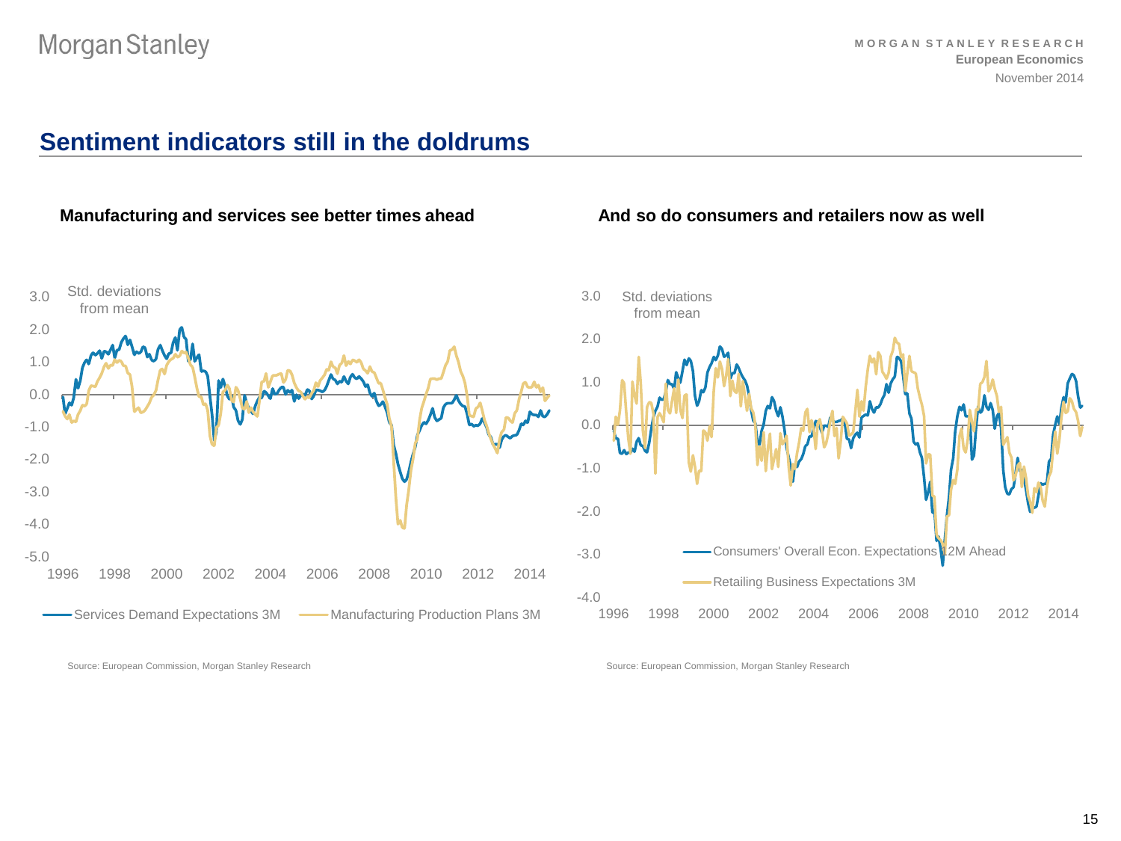# **Sentiment indicators still in the doldrums**

#### **Manufacturing and services see better times ahead And so do consumers and retailers now as well**



Source: European Commission, Morgan Stanley Research



Source: European Commission, Morgan Stanley Research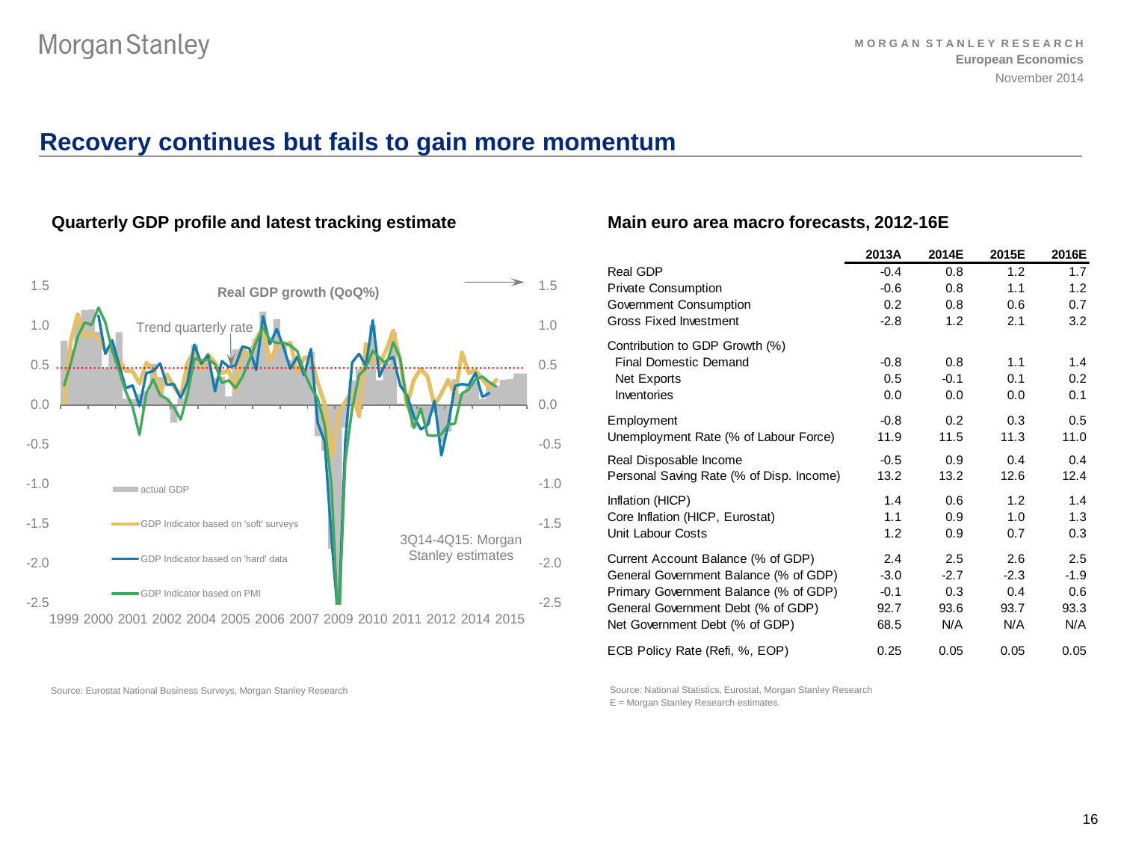# **Recovery continues but fails to gain more momentum**



**Quarterly GDP profile and latest tracking estimate**

#### Source: Eurostat National Business Surveys, Morgan Stanley Research

### **Main euro area macro forecasts, 2012-16E**

|                                          | 2013A         | 2014E         | 2015E  | 2016E         |
|------------------------------------------|---------------|---------------|--------|---------------|
| Real GDP                                 | $-0.4$        | 0.8           | 1.2    | 1.7           |
| <b>Private Consumption</b>               | $-0.6$        | 0.8           | 1.1    | 1.2           |
| Government Consumption                   | 0.2           | 0.8           | 0.6    | 0.7           |
| <b>Gross Fixed Investment</b>            | $-2.8$        | 1.2           | 2.1    | 3.2           |
| Contribution to GDP Growth (%)           |               |               |        |               |
| <b>Final Domestic Demand</b>             | $-0.8$        | 0.8           | 1.1    | 1.4           |
| Net Exports                              | $0.5^{\circ}$ | $-0.1$        | 0.1    | $0.2^{\circ}$ |
| Inventories                              | 0.0           | 0.0           | 0.0    | 0.1           |
| Employment                               | $-0.8$        | $0.2^{\circ}$ | 0.3    | 0.5           |
| Unemployment Rate (% of Labour Force)    | 11.9          | 11.5          | 11.3   | 11.0          |
| Real Disposable Income                   | $-0.5$        | 0.9           | 0.4    | 0.4           |
| Personal Saving Rate (% of Disp. Income) | 13.2          | 13.2          | 12.6   | 12.4          |
| Inflation (HICP)                         | 1.4           | 0.6           | 1.2    | 1.4           |
| Core Inflation (HICP, Eurostat)          | 1.1           | 0.9           | 1.0    | 1.3           |
| Unit Labour Costs                        | 1.2           | 0.9           | 0.7    | 0.3           |
| Current Account Balance (% of GDP)       | 2.4           | 2.5           | 2.6    | 2.5           |
| General Government Balance (% of GDP)    | $-3.0$        | $-2.7$        | $-2.3$ | $-1.9$        |
| Primary Government Balance (% of GDP)    | $-0.1$        | 0.3           | 0.4    | 0.6           |
| General Government Debt (% of GDP)       | 92.7          | 93.6          | 93.7   | 93.3          |
| Net Government Debt (% of GDP)           | 68.5          | N/A           | N/A    | N/A           |
| ECB Policy Rate (Refi, %, EOP)           | 0.25          | 0.05          | 0.05   | 0.05          |

Source: National Statistics, Eurostat, Morgan Stanley Research E = Morgan Stanley Research estimates.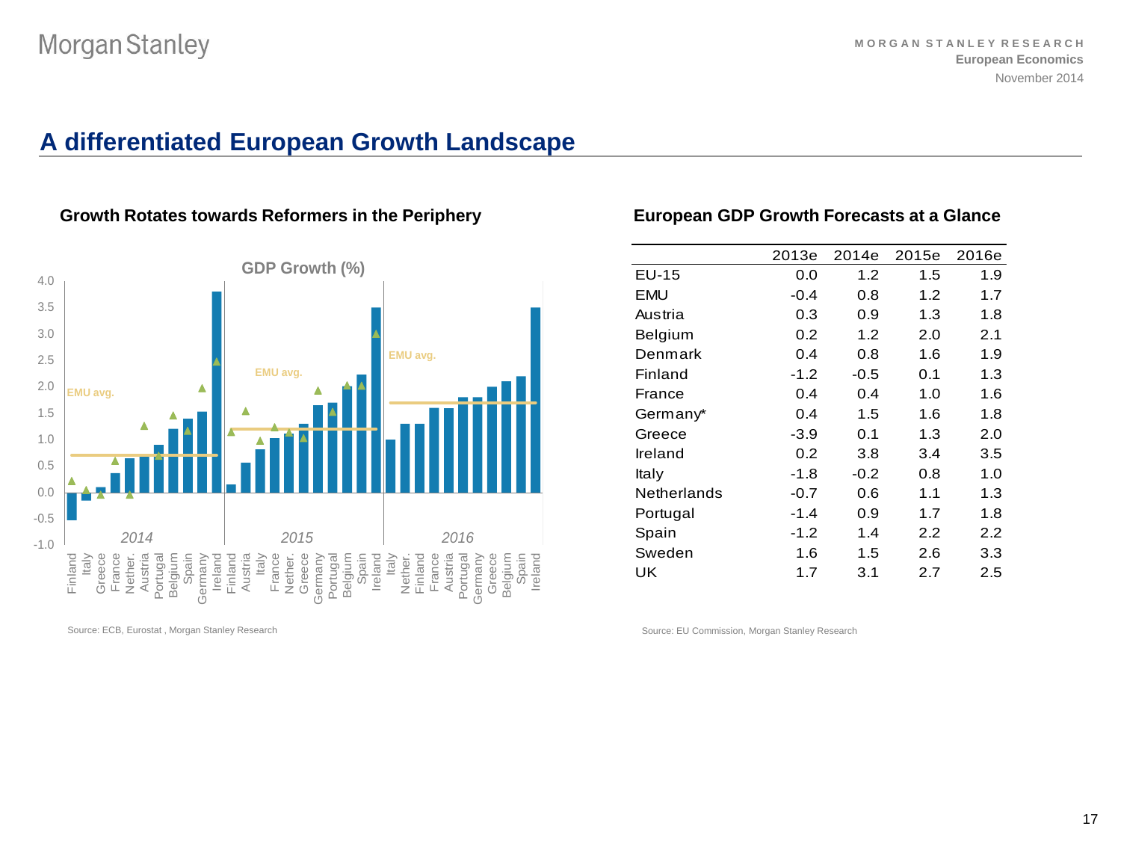# **A differentiated European Growth Landscape**



### Growth Rotates towards Reformers in the Periphery **European GDP Growth Forecasts at a Glance**

Source: ECB, Eurostat , Morgan Stanley Research

|             | 2013e  | 2014e  | 2015e | 2016e |
|-------------|--------|--------|-------|-------|
| $EU-15$     | 0.0    | 1.2    | 1.5   | 1.9   |
| EMU         | $-0.4$ | 0.8    | 1.2   | 1.7   |
| Austria     | 0.3    | 0.9    | 1.3   | 1.8   |
| Belgium     | 0.2    | 1.2    | 2.0   | 2.1   |
| Denmark     | 0.4    | 0.8    | 1.6   | 1.9   |
| Finland     | $-1.2$ | $-0.5$ | 0.1   | 1.3   |
| France      | 0.4    | 0.4    | 1.0   | 1.6   |
| Germany*    | 0.4    | 1.5    | 1.6   | 1.8   |
| Greece      | -3.9   | 0.1    | 1.3   | 2.0   |
| Ireland     | 0.2    | 3.8    | 3.4   | 3.5   |
| Italy       | $-1.8$ | $-0.2$ | 0.8   | 1.0   |
| Netherlands | -0.7   | 0.6    | 1.1   | 1.3   |
| Portugal    | $-1.4$ | 0.9    | 1.7   | 1.8   |
| Spain       | $-1.2$ | 1.4    | 2.2   | 2.2   |
| Sweden      | 1.6    | 1.5    | 2.6   | 3.3   |
| UK          | 1.7    | 3.1    | 2.7   | 2.5   |
|             |        |        |       |       |

Source: EU Commission, Morgan Stanley Research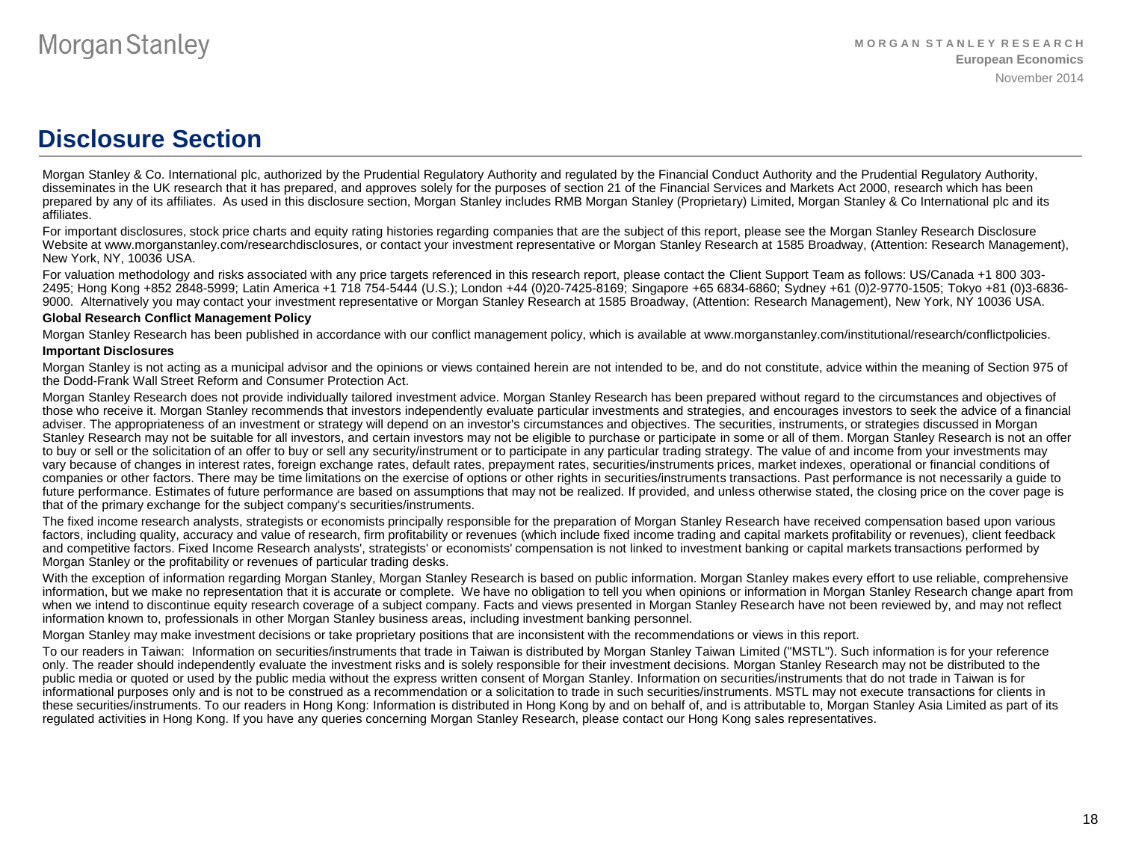# **Disclosure Section**

Morgan Stanley & Co. International plc, authorized by the Prudential Regulatory Authority and regulated by the Financial Conduct Authority and the Prudential Regulatory Authority, disseminates in the UK research that it has prepared, and approves solely for the purposes of section 21 of the Financial Services and Markets Act 2000, research which has been prepared by any of its affiliates. As used in this disclosure section, Morgan Stanley includes RMB Morgan Stanley (Proprietary) Limited, Morgan Stanley & Co International plc and its affiliates.

For important disclosures, stock price charts and equity rating histories regarding companies that are the subject of this report, please see the Morgan Stanley Research Disclosure Website at www.morganstanley.com/researchdisclosures, or contact your investment representative or Morgan Stanley Research at 1585 Broadway, (Attention: Research Management), New York, NY, 10036 USA.

For valuation methodology and risks associated with any price targets referenced in this research report, please contact the Client Support Team as follows: US/Canada +1 800 303-2495; Hong Kong +852 2848-5999; Latin America +1 718 754-5444 (U.S.); London +44 (0)20-7425-8169; Singapore +65 6834-6860; Sydney +61 (0)2-9770-1505; Tokyo +81 (0)3-6836- 9000. Alternatively you may contact your investment representative or Morgan Stanley Research at 1585 Broadway, (Attention: Research Management), New York, NY 10036 USA.

#### **Global Research Conflict Management Policy**

Morgan Stanley Research has been published in accordance with our conflict management policy, which is available at www.morganstanley.com/institutional/research/conflictpolicies.

#### **Important Disclosures**

Morgan Stanley is not acting as a municipal advisor and the opinions or views contained herein are not intended to be, and do not constitute, advice within the meaning of Section 975 of the Dodd-Frank Wall Street Reform and Consumer Protection Act.

Morgan Stanley Research does not provide individually tailored investment advice. Morgan Stanley Research has been prepared without regard to the circumstances and objectives of those who receive it. Morgan Stanley recommends that investors independently evaluate particular investments and strategies, and encourages investors to seek the advice of a financial adviser. The appropriateness of an investment or strategy will depend on an investor's circumstances and objectives. The securities, instruments, or strategies discussed in Morgan Stanley Research may not be suitable for all investors, and certain investors may not be eligible to purchase or participate in some or all of them. Morgan Stanley Research is not an offer to buy or sell or the solicitation of an offer to buy or sell any security/instrument or to participate in any particular trading strategy. The value of and income from your investments may vary because of changes in interest rates, foreign exchange rates, default rates, prepayment rates, securities/instruments prices, market indexes, operational or financial conditions of companies or other factors. There may be time limitations on the exercise of options or other rights in securities/instruments transactions. Past performance is not necessarily a guide to future performance. Estimates of future performance are based on assumptions that may not be realized. If provided, and unless otherwise stated, the closing price on the cover page is that of the primary exchange for the subject company's securities/instruments.

The fixed income research analysts, strategists or economists principally responsible for the preparation of Morgan Stanley Research have received compensation based upon various factors, including quality, accuracy and value of research, firm profitability or revenues (which include fixed income trading and capital markets profitability or revenues), client feedback and competitive factors. Fixed Income Research analysts', strategists' or economists' compensation is not linked to investment banking or capital markets transactions performed by Morgan Stanley or the profitability or revenues of particular trading desks.

With the exception of information regarding Morgan Stanley, Morgan Stanley Research is based on public information. Morgan Stanley makes every effort to use reliable, comprehensive information, but we make no representation that it is accurate or complete. We have no obligation to tell you when opinions or information in Morgan Stanley Research change apart from when we intend to discontinue equity research coverage of a subject company. Facts and views presented in Morgan Stanley Research have not been reviewed by, and may not reflect information known to, professionals in other Morgan Stanley business areas, including investment banking personnel.

Morgan Stanley may make investment decisions or take proprietary positions that are inconsistent with the recommendations or views in this report.

To our readers in Taiwan: Information on securities/instruments that trade in Taiwan is distributed by Morgan Stanley Taiwan Limited ("MSTL"). Such information is for your reference only. The reader should independently evaluate the investment risks and is solely responsible for their investment decisions. Morgan Stanley Research may not be distributed to the public media or quoted or used by the public media without the express written consent of Morgan Stanley. Information on securities/instruments that do not trade in Taiwan is for informational purposes only and is not to be construed as a recommendation or a solicitation to trade in such securities/instruments. MSTL may not execute transactions for clients in these securities/instruments. To our readers in Hong Kong: Information is distributed in Hong Kong by and on behalf of, and is attributable to, Morgan Stanley Asia Limited as part of its regulated activities in Hong Kong. If you have any queries concerning Morgan Stanley Research, please contact our Hong Kong sales representatives.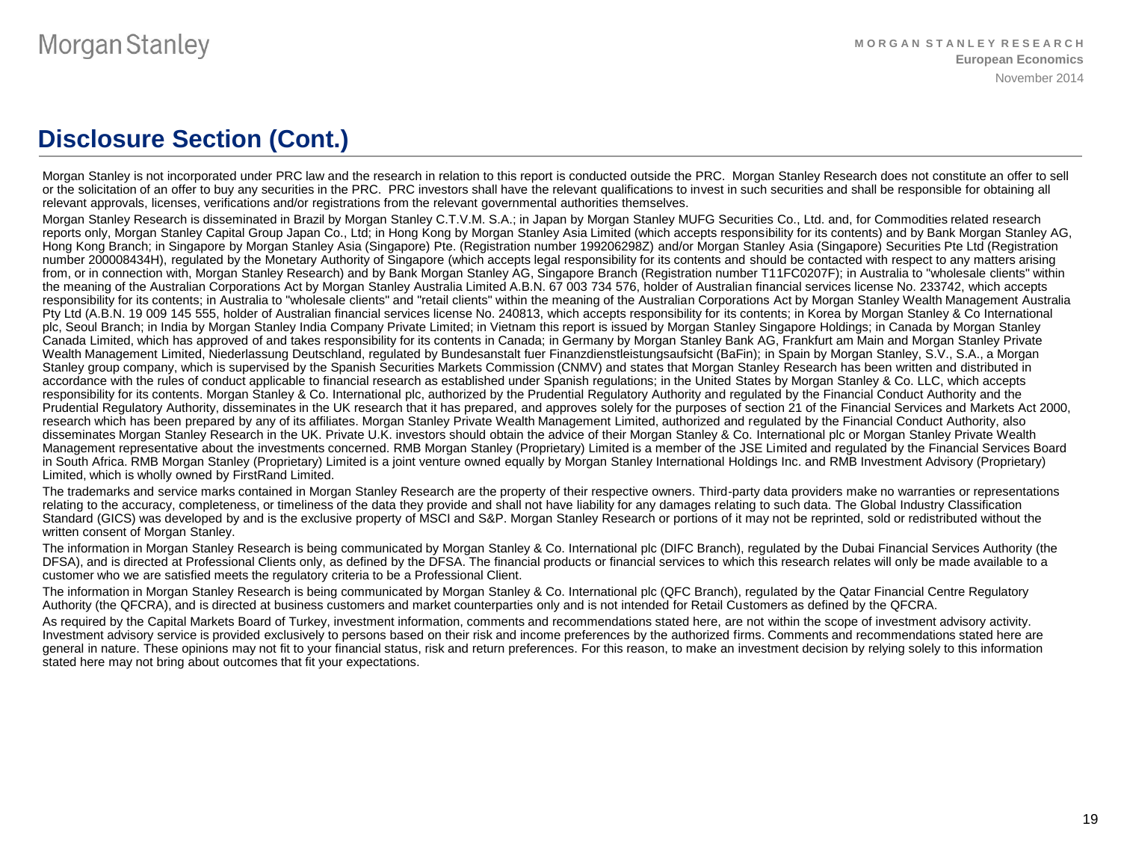# **Disclosure Section (Cont.)**

Morgan Stanley is not incorporated under PRC law and the research in relation to this report is conducted outside the PRC. Morgan Stanley Research does not constitute an offer to sell or the solicitation of an offer to buy any securities in the PRC. PRC investors shall have the relevant qualifications to invest in such securities and shall be responsible for obtaining all relevant approvals, licenses, verifications and/or registrations from the relevant governmental authorities themselves.

Morgan Stanley Research is disseminated in Brazil by Morgan Stanley C.T.V.M. S.A.; in Japan by Morgan Stanley MUFG Securities Co., Ltd. and, for Commodities related research reports only, Morgan Stanley Capital Group Japan Co., Ltd; in Hong Kong by Morgan Stanley Asia Limited (which accepts responsibility for its contents) and by Bank Morgan Stanley AG, Hong Kong Branch; in Singapore by Morgan Stanley Asia (Singapore) Pte. (Registration number 199206298Z) and/or Morgan Stanley Asia (Singapore) Securities Pte Ltd (Registration number 200008434H), regulated by the Monetary Authority of Singapore (which accepts legal responsibility for its contents and should be contacted with respect to any matters arising from, or in connection with, Morgan Stanley Research) and by Bank Morgan Stanley AG, Singapore Branch (Registration number T11FC0207F); in Australia to "wholesale clients" within the meaning of the Australian Corporations Act by Morgan Stanley Australia Limited A.B.N. 67 003 734 576, holder of Australian financial services license No. 233742, which accepts responsibility for its contents; in Australia to "wholesale clients" and "retail clients" within the meaning of the Australian Corporations Act by Morgan Stanley Wealth Management Australia Pty Ltd (A.B.N. 19 009 145 555, holder of Australian financial services license No. 240813, which accepts responsibility for its contents; in Korea by Morgan Stanley & Co International plc, Seoul Branch; in India by Morgan Stanley India Company Private Limited; in Vietnam this report is issued by Morgan Stanley Singapore Holdings; in Canada by Morgan Stanley Canada Limited, which has approved of and takes responsibility for its contents in Canada; in Germany by Morgan Stanley Bank AG, Frankfurt am Main and Morgan Stanley Private Wealth Management Limited, Niederlassung Deutschland, regulated by Bundesanstalt fuer Finanzdienstleistungsaufsicht (BaFin); in Spain by Morgan Stanley, S.V., S.A., a Morgan Stanley group company, which is supervised by the Spanish Securities Markets Commission (CNMV) and states that Morgan Stanley Research has been written and distributed in accordance with the rules of conduct applicable to financial research as established under Spanish regulations; in the United States by Morgan Stanley & Co. LLC, which accepts responsibility for its contents. Morgan Stanley & Co. International plc, authorized by the Prudential Regulatory Authority and regulated by the Financial Conduct Authority and the Prudential Regulatory Authority, disseminates in the UK research that it has prepared, and approves solely for the purposes of section 21 of the Financial Services and Markets Act 2000, research which has been prepared by any of its affiliates. Morgan Stanley Private Wealth Management Limited, authorized and regulated by the Financial Conduct Authority, also disseminates Morgan Stanley Research in the UK. Private U.K. investors should obtain the advice of their Morgan Stanley & Co. International plc or Morgan Stanley Private Wealth Management representative about the investments concerned. RMB Morgan Stanley (Proprietary) Limited is a member of the JSE Limited and regulated by the Financial Services Board in South Africa. RMB Morgan Stanley (Proprietary) Limited is a joint venture owned equally by Morgan Stanley International Holdings Inc. and RMB Investment Advisory (Proprietary) Limited, which is wholly owned by FirstRand Limited.

The trademarks and service marks contained in Morgan Stanley Research are the property of their respective owners. Third-party data providers make no warranties or representations relating to the accuracy, completeness, or timeliness of the data they provide and shall not have liability for any damages relating to such data. The Global Industry Classification Standard (GICS) was developed by and is the exclusive property of MSCI and S&P. Morgan Stanley Research or portions of it may not be reprinted, sold or redistributed without the written consent of Morgan Stanley.

The information in Morgan Stanley Research is being communicated by Morgan Stanley & Co. International plc (DIFC Branch), regulated by the Dubai Financial Services Authority (the DFSA), and is directed at Professional Clients only, as defined by the DFSA. The financial products or financial services to which this research relates will only be made available to a customer who we are satisfied meets the regulatory criteria to be a Professional Client.

The information in Morgan Stanley Research is being communicated by Morgan Stanley & Co. International plc (QFC Branch), regulated by the Qatar Financial Centre Regulatory Authority (the QFCRA), and is directed at business customers and market counterparties only and is not intended for Retail Customers as defined by the QFCRA.

As required by the Capital Markets Board of Turkey, investment information, comments and recommendations stated here, are not within the scope of investment advisory activity. Investment advisory service is provided exclusively to persons based on their risk and income preferences by the authorized firms. Comments and recommendations stated here are general in nature. These opinions may not fit to your financial status, risk and return preferences. For this reason, to make an investment decision by relying solely to this information stated here may not bring about outcomes that fit your expectations.